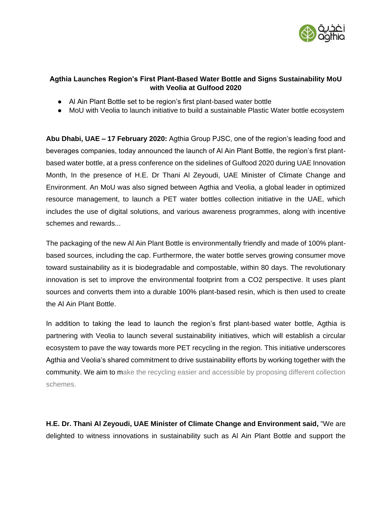

# **Agthia Launches Region's First Plant-Based Water Bottle and Signs Sustainability MoU with Veolia at Gulfood 2020**

- Al Ain Plant Bottle set to be region's first plant-based water bottle
- MoU with Veolia to launch initiative to build a sustainable Plastic Water bottle ecosystem

**Abu Dhabi, UAE – 17 February 2020:** Agthia Group PJSC, one of the region's leading food and beverages companies, today announced the launch of Al Ain Plant Bottle, the region's first plantbased water bottle, at a press conference on the sidelines of Gulfood 2020 during UAE Innovation Month, In the presence of H.E. Dr Thani Al Zeyoudi, UAE Minister of Climate Change and Environment. An MoU was also signed between Agthia and Veolia, a global leader in optimized resource management, to launch a PET water bottles collection initiative in the UAE, which includes the use of digital solutions, and various awareness programmes, along with incentive schemes and rewards...

The packaging of the new Al Ain Plant Bottle is environmentally friendly and made of 100% plantbased sources, including the cap. Furthermore, the water bottle serves growing consumer move toward sustainability as it is biodegradable and compostable, within 80 days. The revolutionary innovation is set to improve the environmental footprint from a CO2 perspective. It uses plant sources and converts them into a durable 100% plant-based resin, which is then used to create the Al Ain Plant Bottle.

In addition to taking the lead to launch the region's first plant-based water bottle, Agthia is partnering with Veolia to launch several sustainability initiatives, which will establish a circular ecosystem to pave the way towards more PET recycling in the region. This initiative underscores Agthia and Veolia's shared commitment to drive sustainability efforts by working together with the community. We aim to make the recycling easier and accessible by proposing different collection schemes.

**H.E. Dr. Thani Al Zeyoudi, UAE Minister of Climate Change and Environment said,** "We are delighted to witness innovations in sustainability such as Al Ain Plant Bottle and support the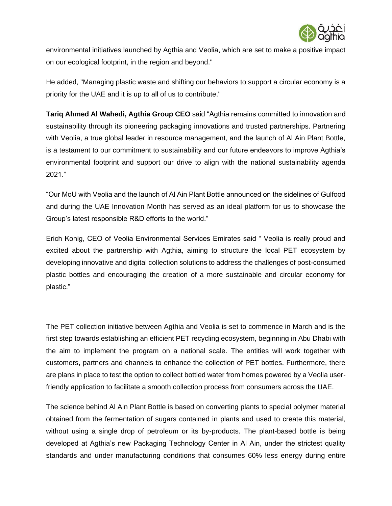

environmental initiatives launched by Agthia and Veolia, which are set to make a positive impact on our ecological footprint, in the region and beyond."

He added, "Managing plastic waste and shifting our behaviors to support a circular economy is a priority for the UAE and it is up to all of us to contribute."

**Tariq Ahmed Al Wahedi, Agthia Group CEO** said "Agthia remains committed to innovation and sustainability through its pioneering packaging innovations and trusted partnerships. Partnering with Veolia, a true global leader in resource management, and the launch of Al Ain Plant Bottle, is a testament to our commitment to sustainability and our future endeavors to improve Agthia's environmental footprint and support our drive to align with the national sustainability agenda 2021."

"Our MoU with Veolia and the launch of Al Ain Plant Bottle announced on the sidelines of Gulfood and during the UAE Innovation Month has served as an ideal platform for us to showcase the Group's latest responsible R&D efforts to the world."

Erich Konig, CEO of Veolia Environmental Services Emirates said " Veolia is really proud and excited about the partnership with Agthia, aiming to structure the local PET ecosystem by developing innovative and digital collection solutions to address the challenges of post-consumed plastic bottles and encouraging the creation of a more sustainable and circular economy for plastic."

The PET collection initiative between Agthia and Veolia is set to commence in March and is the first step towards establishing an efficient PET recycling ecosystem, beginning in Abu Dhabi with the aim to implement the program on a national scale. The entities will work together with customers, partners and channels to enhance the collection of PET bottles. Furthermore, there are plans in place to test the option to collect bottled water from homes powered by a Veolia userfriendly application to facilitate a smooth collection process from consumers across the UAE.

The science behind Al Ain Plant Bottle is based on converting plants to special polymer material obtained from the fermentation of sugars contained in plants and used to create this material, without using a single drop of petroleum or its by-products. The plant-based bottle is being developed at Agthia's new Packaging Technology Center in Al Ain, under the strictest quality standards and under manufacturing conditions that consumes 60% less energy during entire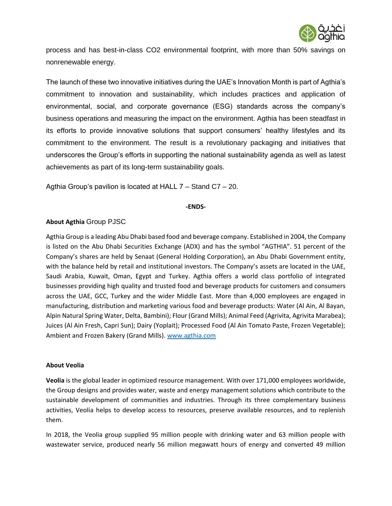

process and has best-in-class CO2 environmental footprint, with more than 50% savings on nonrenewable energy.

The launch of these two innovative initiatives during the UAE's Innovation Month is part of Agthia's commitment to innovation and sustainability, which includes practices and application of environmental, social, and corporate governance (ESG) standards across the company's business operations and measuring the impact on the environment. Agthia has been steadfast in its efforts to provide innovative solutions that support consumers' healthy lifestyles and its commitment to the environment. The result is a revolutionary packaging and initiatives that underscores the Group's efforts in supporting the national sustainability agenda as well as latest achievements as part of its long-term sustainability goals.

Agthia Group's pavilion is located at HALL 7 – Stand C7 – 20.

### **-ENDS-**

## **About Agthia** Group PJSC

Agthia Group is a leading Abu Dhabi based food and beverage company. Established in 2004, the Company is listed on the Abu Dhabi Securities Exchange (ADX) and has the symbol "AGTHIA". 51 percent of the Company's shares are held by Senaat (General Holding Corporation), an Abu Dhabi Government entity, with the balance held by retail and institutional investors. The Company's assets are located in the UAE, Saudi Arabia, Kuwait, Oman, Egypt and Turkey. Agthia offers a world class portfolio of integrated businesses providing high quality and trusted food and beverage products for customers and consumers across the UAE, GCC, Turkey and the wider Middle East. More than 4,000 employees are engaged in manufacturing, distribution and marketing various food and beverage products: Water (Al Ain, Al Bayan, Alpin Natural Spring Water, Delta, Bambini); Flour (Grand Mills); Animal Feed (Agrivita, Agrivita Marabea); Juices (Al Ain Fresh, Capri Sun); Dairy (Yoplait); Processed Food (Al Ain Tomato Paste, Frozen Vegetable); Ambient and Frozen Bakery (Grand Mills). [www.agthia.com](http://www.agthia.com/) 

### **About Veolia**

**Veolia** is the global leader in optimized resource management. With over 171,000 employees worldwide, the Group designs and provides water, waste and energy management solutions which contribute to the sustainable development of communities and industries. Through its three complementary business activities, Veolia helps to develop access to resources, preserve available resources, and to replenish them.

In 2018, the Veolia group supplied 95 million people with drinking water and 63 million people with wastewater service, produced nearly 56 million megawatt hours of energy and converted 49 million